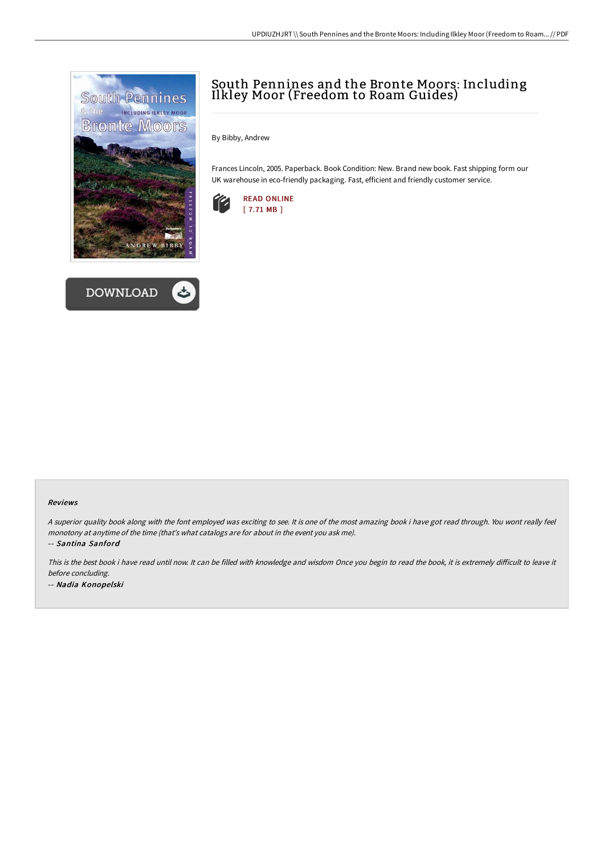



## South Pennines and the Bronte Moors: Including Ilkley Moor (Freedom to Roam Guides)

By Bibby, Andrew

Frances Lincoln, 2005. Paperback. Book Condition: New. Brand new book. Fast shipping form our UK warehouse in eco-friendly packaging. Fast, efficient and friendly customer service.



## Reviews

<sup>A</sup> superior quality book along with the font employed was exciting to see. It is one of the most amazing book i have got read through. You wont really feel monotony at anytime of the time (that's what catalogs are for about in the event you ask me).

-- Santina Sanford

This is the best book i have read until now. It can be filled with knowledge and wisdom Once you begin to read the book, it is extremely difficult to leave it before concluding. -- Nadia Konopelski